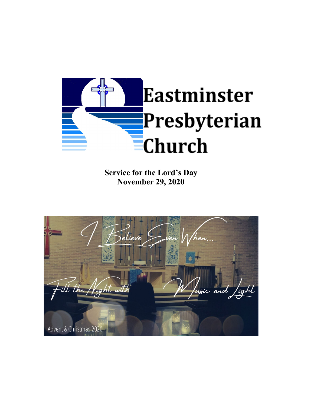

**Service for the Lord's Day November 29, 2020**

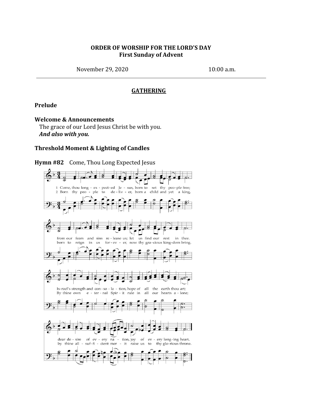### **ORDER OF WORSHIP FOR THE LORD'S DAY First Sunday of Advent**

November 29, 2020 10:00 a.m.

### **GATHERING**

#### **Prelude**

#### **Welcome & Announcements**

The grace of our Lord Jesus Christ be with you. *And also with you.*

#### **Threshold Moment & Lighting of Candles**



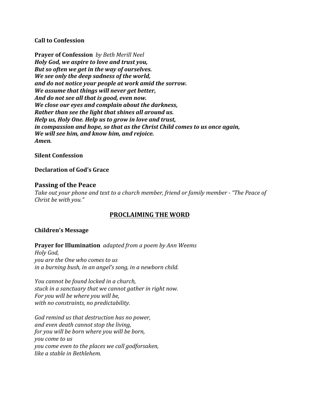## **Call to Confession**

**Prayer of Confession** *by Beth Merill Neel Holy God, we aspire to love and trust you, But so often we get in the way of ourselves. We see only the deep sadness of the world, and do not notice your people at work amid the sorrow. We assume that things will never get better, And do not see all that is good, even now. We close our eyes and complain about the darkness, Rather than see the light that shines all around us. Help us, Holy One. Help us to grow in love and trust, in compassion and hope, so that as the Christ Child comes to us once again, We will see him, and know him, and rejoice. Amen.*

## **Silent Confession**

## **Declaration of God's Grace**

## **Passing of the Peace**

*Take out your phone and text to a church member, friend or family member - "The Peace of Christ be with you."*

# **PROCLAIMING THE WORD**

### **Children's Message**

**Prayer for Illumination** *adapted from a poem by Ann Weems Holy God, you are the One who comes to us in a burning bush, in an angel's song, in a newborn child.*

*You cannot be found locked in a church, stuck in a sanctuary that we cannot gather in right now. For you will be where you will be, with no constraints, no predictability.*

*God remind us that destruction has no power, and even death cannot stop the living, for you will be born where you will be born, you come to us you come even to the places we call godforsaken, like a stable in Bethlehem.*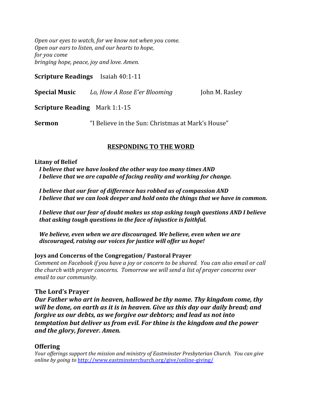*Open our eyes to watch, for we know not when you come. Open our ears to listen, and our hearts to hope, for you come bringing hope, peace, joy and love. Amen.*

**Scripture Readings** Isaiah 40:1-11

**Special Music** *Lo, How A Rose E'er Blooming* John M. Rasley

**Scripture Reading** Mark 1:1-15

**Sermon** "I Believe in the Sun: Christmas at Mark's House"

# **RESPONDING TO THE WORD**

### **Litany of Belief**

*I believe that we have looked the other way too many times AND I believe that we are capable of facing reality and working for change.*

*I believe that our fear of difference has robbed us of compassion AND I believe that we can look deeper and hold onto the things that we have in common.*

*I believe that our fear of doubt makes us stop asking tough questions AND I believe that asking tough questions in the face of injustice is faithful.*

*We believe, even when we are discouraged. We believe, even when we are discouraged, raising our voices for justice will offer us hope!*

## **Joys and Concerns of the Congregation/ Pastoral Prayer**

*Comment on Facebook if you have a joy or concern to be shared. You can also email or call the church with prayer concerns. Tomorrow we will send a list of prayer concerns over email to our community.*

## **The Lord's Prayer**

*Our Father who art in heaven, hallowed be thy name. Thy kingdom come, thy will be done, on earth as it is in heaven. Give us this day our daily bread; and forgive us our debts, as we forgive our debtors; and lead us not into temptation but deliver us from evil. For thine is the kingdom and the power and the glory, forever. Amen.*

## **Offering**

*Your of erings support the mission and ministry of Eastminster Presbyterian Church. You can give online by going to* <http://www.eastminsterchurch.org/give/online-giving/>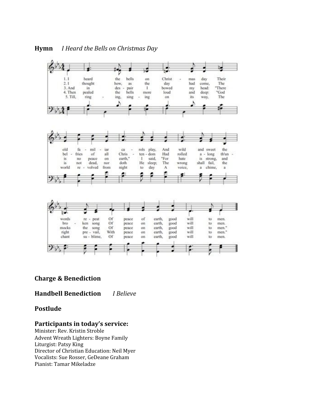



## **Charge & Benediction**

**Handbell Benediction** *I Believe*

## **Postlude**

## **Participants in today's service:**

Minister: Rev. Kristin Stroble Advent Wreath Lighters: Boyne Family Liturgist: Patsy King Director of Christian Education: Neil Myer Vocalists: Sue Rosser, GeDeane Graham Pianist: Tamar Mikeladze